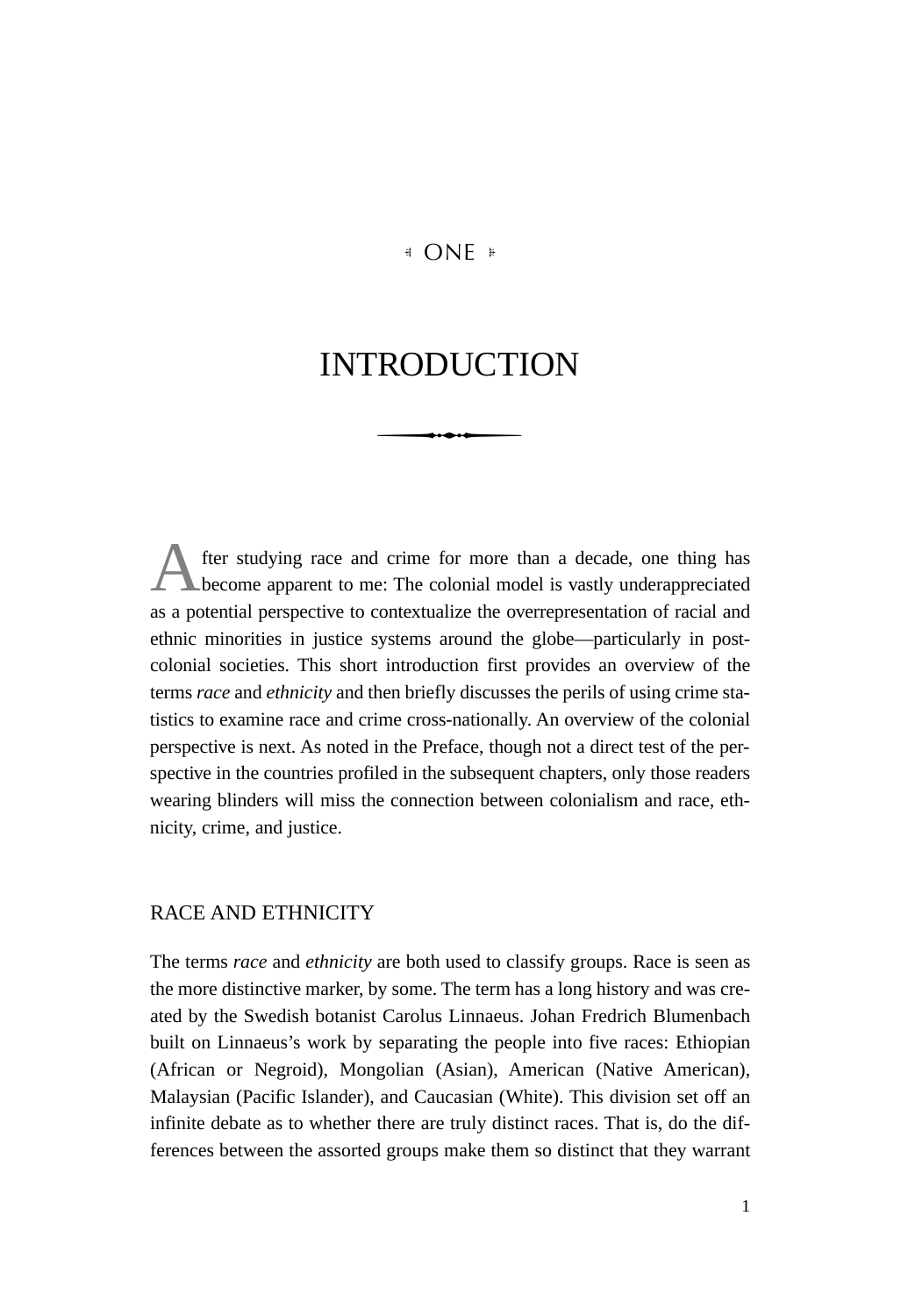# **E** ONE **E**

# INTRODUCTION

After studying race and crime for more than a decade, one thing has<br>become apparent to me: The colonial model is vastly underappreciated as a potential perspective to contextualize the overrepresentation of racial and ethnic minorities in justice systems around the globe—particularly in postcolonial societies. This short introduction first provides an overview of the terms *race* and *ethnicity* and then briefly discusses the perils of using crime statistics to examine race and crime cross-nationally. An overview of the colonial perspective is next. As noted in the Preface, though not a direct test of the perspective in the countries profiled in the subsequent chapters, only those readers wearing blinders will miss the connection between colonialism and race, ethnicity, crime, and justice.

# RACE AND ETHNICITY

The terms *race* and *ethnicity* are both used to classify groups. Race is seen as the more distinctive marker, by some. The term has a long history and was created by the Swedish botanist Carolus Linnaeus. Johan Fredrich Blumenbach built on Linnaeus's work by separating the people into five races: Ethiopian (African or Negroid), Mongolian (Asian), American (Native American), Malaysian (Pacific Islander), and Caucasian (White). This division set off an infinite debate as to whether there are truly distinct races. That is, do the differences between the assorted groups make them so distinct that they warrant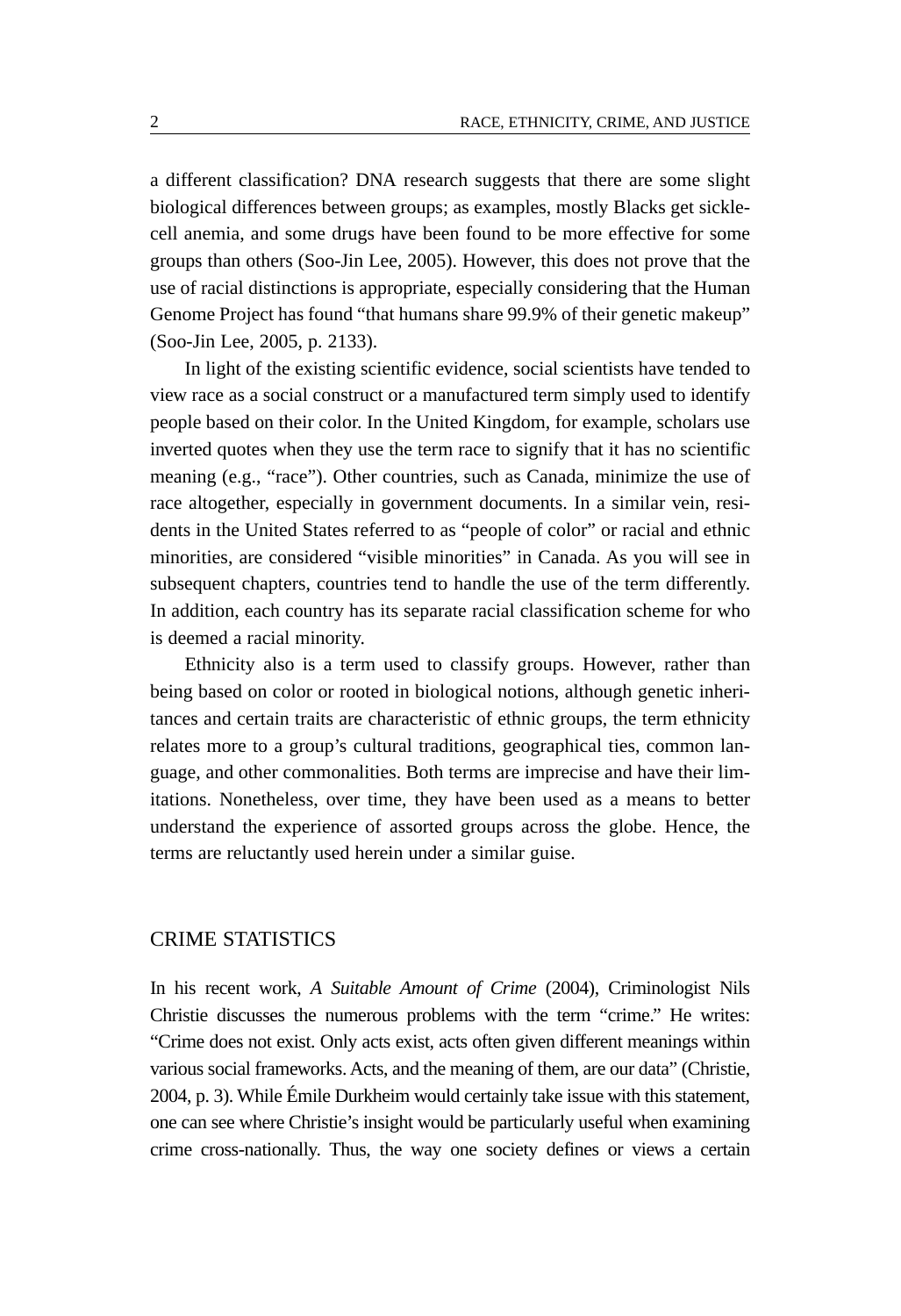a different classification? DNA research suggests that there are some slight biological differences between groups; as examples, mostly Blacks get sicklecell anemia, and some drugs have been found to be more effective for some groups than others (Soo-Jin Lee, 2005). However, this does not prove that the use of racial distinctions is appropriate, especially considering that the Human Genome Project has found "that humans share 99.9% of their genetic makeup" (Soo-Jin Lee, 2005, p. 2133).

In light of the existing scientific evidence, social scientists have tended to view race as a social construct or a manufactured term simply used to identify people based on their color. In the United Kingdom, for example, scholars use inverted quotes when they use the term race to signify that it has no scientific meaning (e.g., "race"). Other countries, such as Canada, minimize the use of race altogether, especially in government documents. In a similar vein, residents in the United States referred to as "people of color" or racial and ethnic minorities, are considered "visible minorities" in Canada. As you will see in subsequent chapters, countries tend to handle the use of the term differently. In addition, each country has its separate racial classification scheme for who is deemed a racial minority.

Ethnicity also is a term used to classify groups. However, rather than being based on color or rooted in biological notions, although genetic inheritances and certain traits are characteristic of ethnic groups, the term ethnicity relates more to a group's cultural traditions, geographical ties, common language, and other commonalities. Both terms are imprecise and have their limitations. Nonetheless, over time, they have been used as a means to better understand the experience of assorted groups across the globe. Hence, the terms are reluctantly used herein under a similar guise.

#### CRIME STATISTICS

In his recent work, *A Suitable Amount of Crime* (2004), Criminologist Nils Christie discusses the numerous problems with the term "crime." He writes: "Crime does not exist. Only acts exist, acts often given different meanings within various social frameworks. Acts, and the meaning of them, are our data" (Christie, 2004, p. 3). While Émile Durkheim would certainly take issue with this statement, one can see where Christie's insight would be particularly useful when examining crime cross-nationally. Thus, the way one society defines or views a certain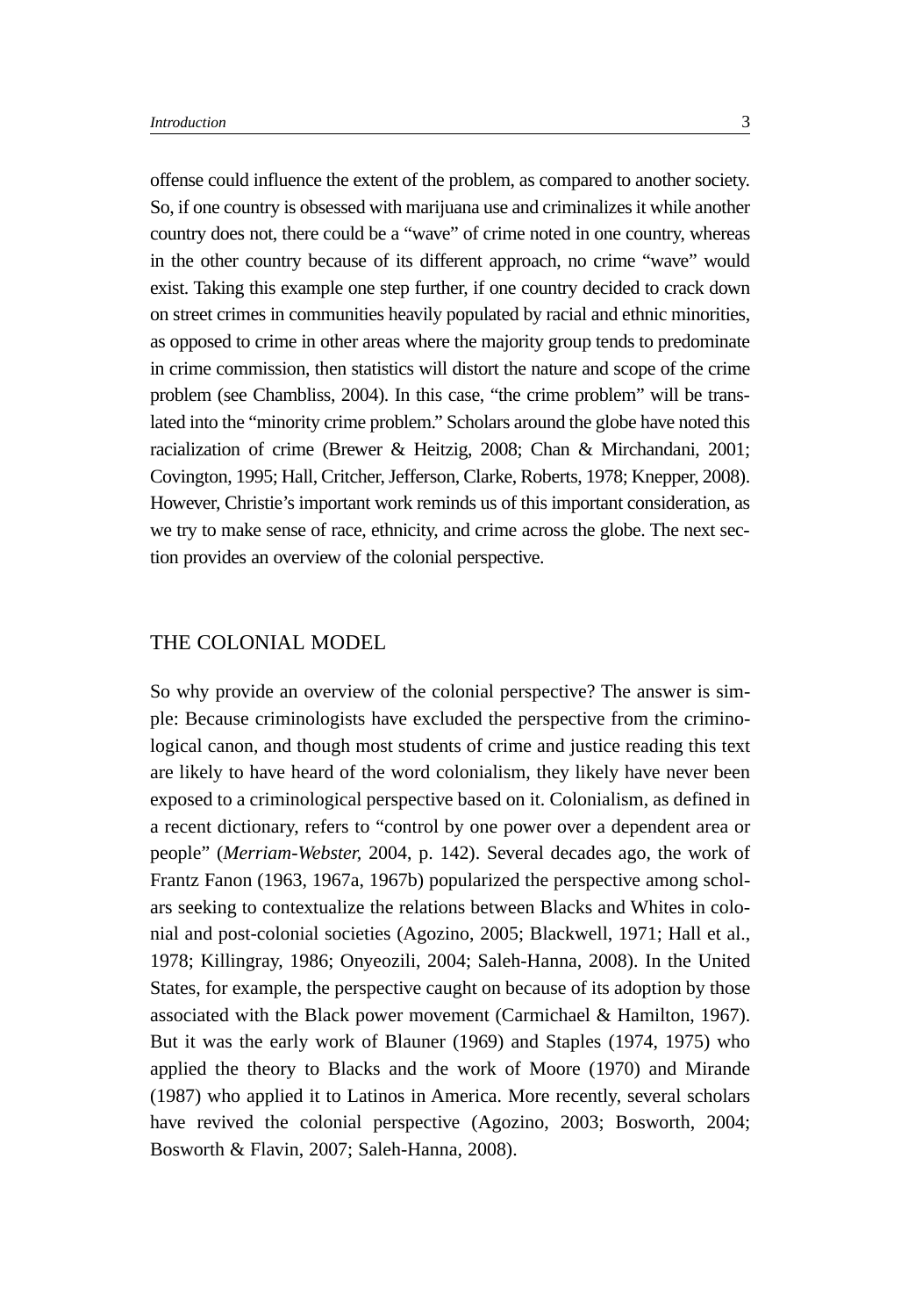offense could influence the extent of the problem, as compared to another society. So, if one country is obsessed with marijuana use and criminalizes it while another country does not, there could be a "wave" of crime noted in one country, whereas in the other country because of its different approach, no crime "wave" would exist. Taking this example one step further, if one country decided to crack down on street crimes in communities heavily populated by racial and ethnic minorities, as opposed to crime in other areas where the majority group tends to predominate in crime commission, then statistics will distort the nature and scope of the crime problem (see Chambliss, 2004). In this case, "the crime problem" will be translated into the "minority crime problem." Scholars around the globe have noted this racialization of crime (Brewer & Heitzig, 2008; Chan & Mirchandani, 2001; Covington, 1995; Hall, Critcher, Jefferson, Clarke, Roberts, 1978; Knepper, 2008). However, Christie's important work reminds us of this important consideration, as we try to make sense of race, ethnicity, and crime across the globe. The next section provides an overview of the colonial perspective.

#### THE COLONIAL MODEL

So why provide an overview of the colonial perspective? The answer is simple: Because criminologists have excluded the perspective from the criminological canon, and though most students of crime and justice reading this text are likely to have heard of the word colonialism, they likely have never been exposed to a criminological perspective based on it. Colonialism, as defined in a recent dictionary, refers to "control by one power over a dependent area or people" (*Merriam-Webster,* 2004, p. 142). Several decades ago, the work of Frantz Fanon (1963, 1967a, 1967b) popularized the perspective among scholars seeking to contextualize the relations between Blacks and Whites in colonial and post-colonial societies (Agozino, 2005; Blackwell, 1971; Hall et al., 1978; Killingray, 1986; Onyeozili, 2004; Saleh-Hanna, 2008). In the United States, for example, the perspective caught on because of its adoption by those associated with the Black power movement (Carmichael & Hamilton, 1967). But it was the early work of Blauner (1969) and Staples (1974, 1975) who applied the theory to Blacks and the work of Moore (1970) and Mirande (1987) who applied it to Latinos in America. More recently, several scholars have revived the colonial perspective (Agozino, 2003; Bosworth, 2004; Bosworth & Flavin, 2007; Saleh-Hanna, 2008).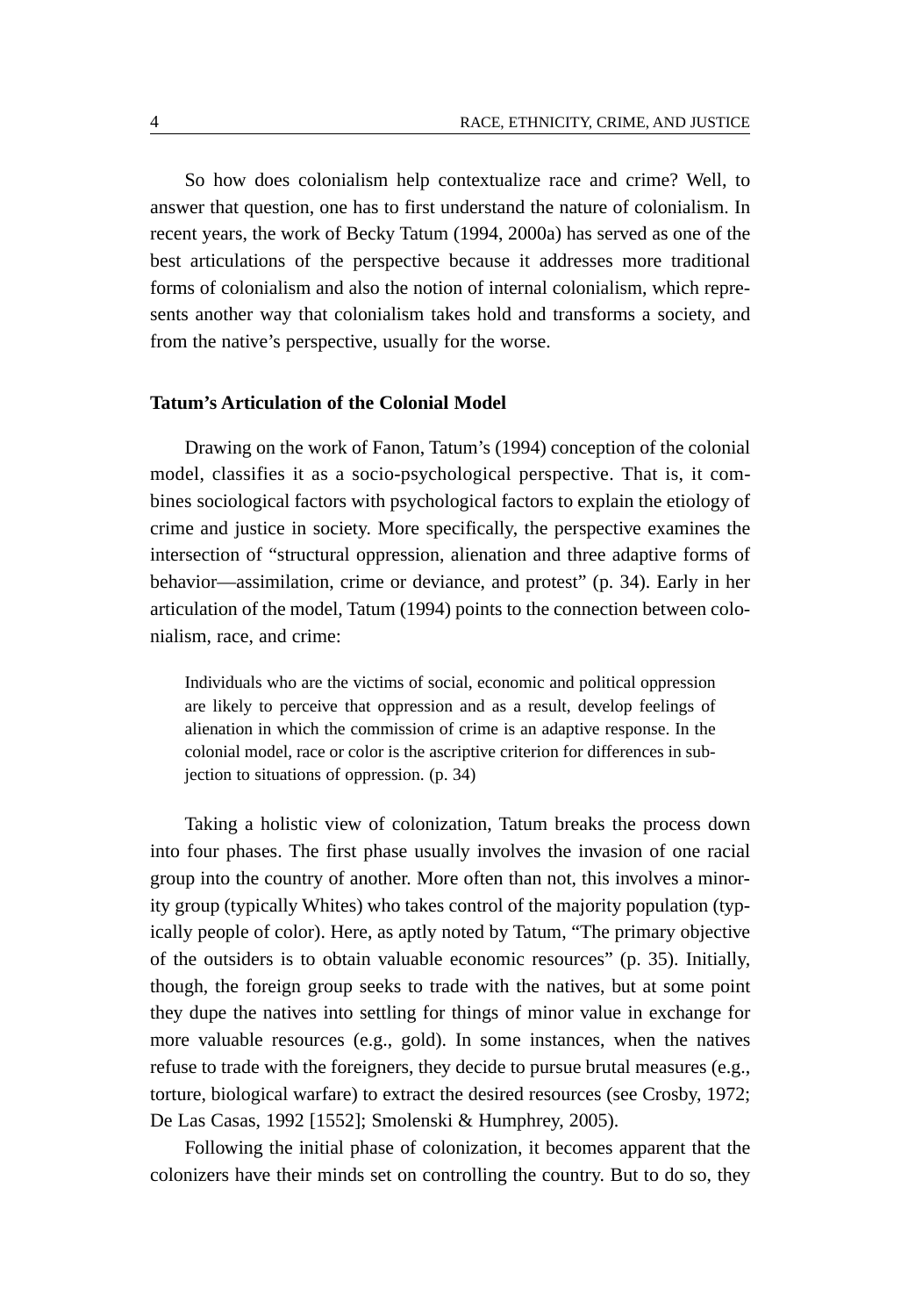So how does colonialism help contextualize race and crime? Well, to answer that question, one has to first understand the nature of colonialism. In recent years, the work of Becky Tatum (1994, 2000a) has served as one of the best articulations of the perspective because it addresses more traditional forms of colonialism and also the notion of internal colonialism, which represents another way that colonialism takes hold and transforms a society, and from the native's perspective, usually for the worse.

### **Tatum's Articulation of the Colonial Model**

Drawing on the work of Fanon, Tatum's (1994) conception of the colonial model, classifies it as a socio-psychological perspective. That is, it combines sociological factors with psychological factors to explain the etiology of crime and justice in society. More specifically, the perspective examines the intersection of "structural oppression, alienation and three adaptive forms of behavior—assimilation, crime or deviance, and protest" (p. 34). Early in her articulation of the model, Tatum (1994) points to the connection between colonialism, race, and crime:

Individuals who are the victims of social, economic and political oppression are likely to perceive that oppression and as a result, develop feelings of alienation in which the commission of crime is an adaptive response. In the colonial model, race or color is the ascriptive criterion for differences in subjection to situations of oppression. (p. 34)

Taking a holistic view of colonization, Tatum breaks the process down into four phases. The first phase usually involves the invasion of one racial group into the country of another. More often than not, this involves a minority group (typically Whites) who takes control of the majority population (typically people of color). Here, as aptly noted by Tatum, "The primary objective of the outsiders is to obtain valuable economic resources" (p. 35). Initially, though, the foreign group seeks to trade with the natives, but at some point they dupe the natives into settling for things of minor value in exchange for more valuable resources (e.g., gold). In some instances, when the natives refuse to trade with the foreigners, they decide to pursue brutal measures (e.g., torture, biological warfare) to extract the desired resources (see Crosby, 1972; De Las Casas, 1992 [1552]; Smolenski & Humphrey, 2005).

Following the initial phase of colonization, it becomes apparent that the colonizers have their minds set on controlling the country. But to do so, they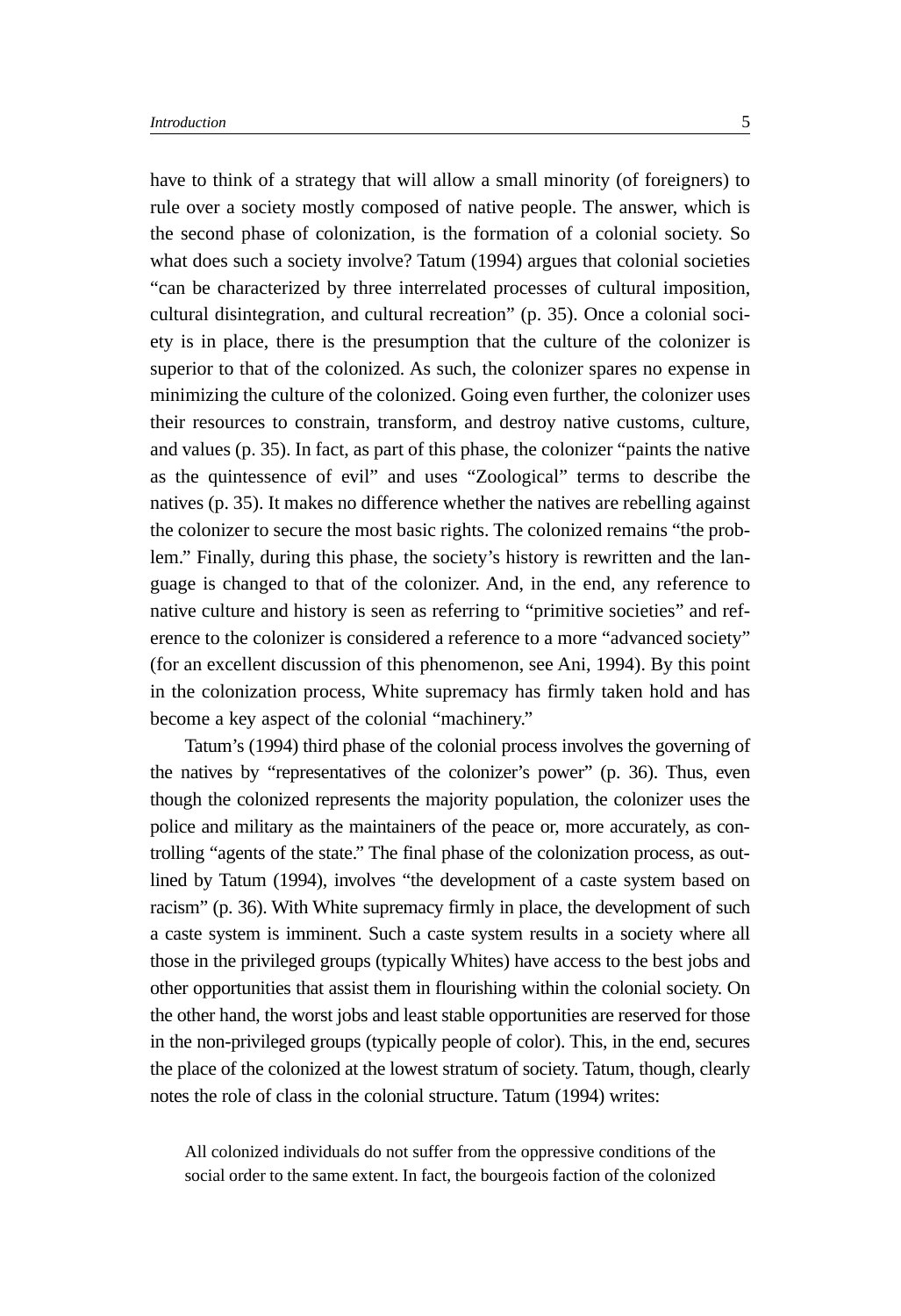have to think of a strategy that will allow a small minority (of foreigners) to rule over a society mostly composed of native people. The answer, which is the second phase of colonization, is the formation of a colonial society. So what does such a society involve? Tatum (1994) argues that colonial societies "can be characterized by three interrelated processes of cultural imposition, cultural disintegration, and cultural recreation" (p. 35). Once a colonial society is in place, there is the presumption that the culture of the colonizer is superior to that of the colonized. As such, the colonizer spares no expense in minimizing the culture of the colonized. Going even further, the colonizer uses their resources to constrain, transform, and destroy native customs, culture, and values (p. 35). In fact, as part of this phase, the colonizer "paints the native as the quintessence of evil" and uses "Zoological" terms to describe the natives (p. 35). It makes no difference whether the natives are rebelling against the colonizer to secure the most basic rights. The colonized remains "the problem." Finally, during this phase, the society's history is rewritten and the language is changed to that of the colonizer. And, in the end, any reference to native culture and history is seen as referring to "primitive societies" and reference to the colonizer is considered a reference to a more "advanced society" (for an excellent discussion of this phenomenon, see Ani, 1994). By this point in the colonization process, White supremacy has firmly taken hold and has become a key aspect of the colonial "machinery."

Tatum's (1994) third phase of the colonial process involves the governing of the natives by "representatives of the colonizer's power" (p. 36). Thus, even though the colonized represents the majority population, the colonizer uses the police and military as the maintainers of the peace or, more accurately, as controlling "agents of the state." The final phase of the colonization process, as outlined by Tatum (1994), involves "the development of a caste system based on racism" (p. 36). With White supremacy firmly in place, the development of such a caste system is imminent. Such a caste system results in a society where all those in the privileged groups (typically Whites) have access to the best jobs and other opportunities that assist them in flourishing within the colonial society. On the other hand, the worst jobs and least stable opportunities are reserved for those in the non-privileged groups (typically people of color). This, in the end, secures the place of the colonized at the lowest stratum of society. Tatum, though, clearly notes the role of class in the colonial structure. Tatum (1994) writes:

All colonized individuals do not suffer from the oppressive conditions of the social order to the same extent. In fact, the bourgeois faction of the colonized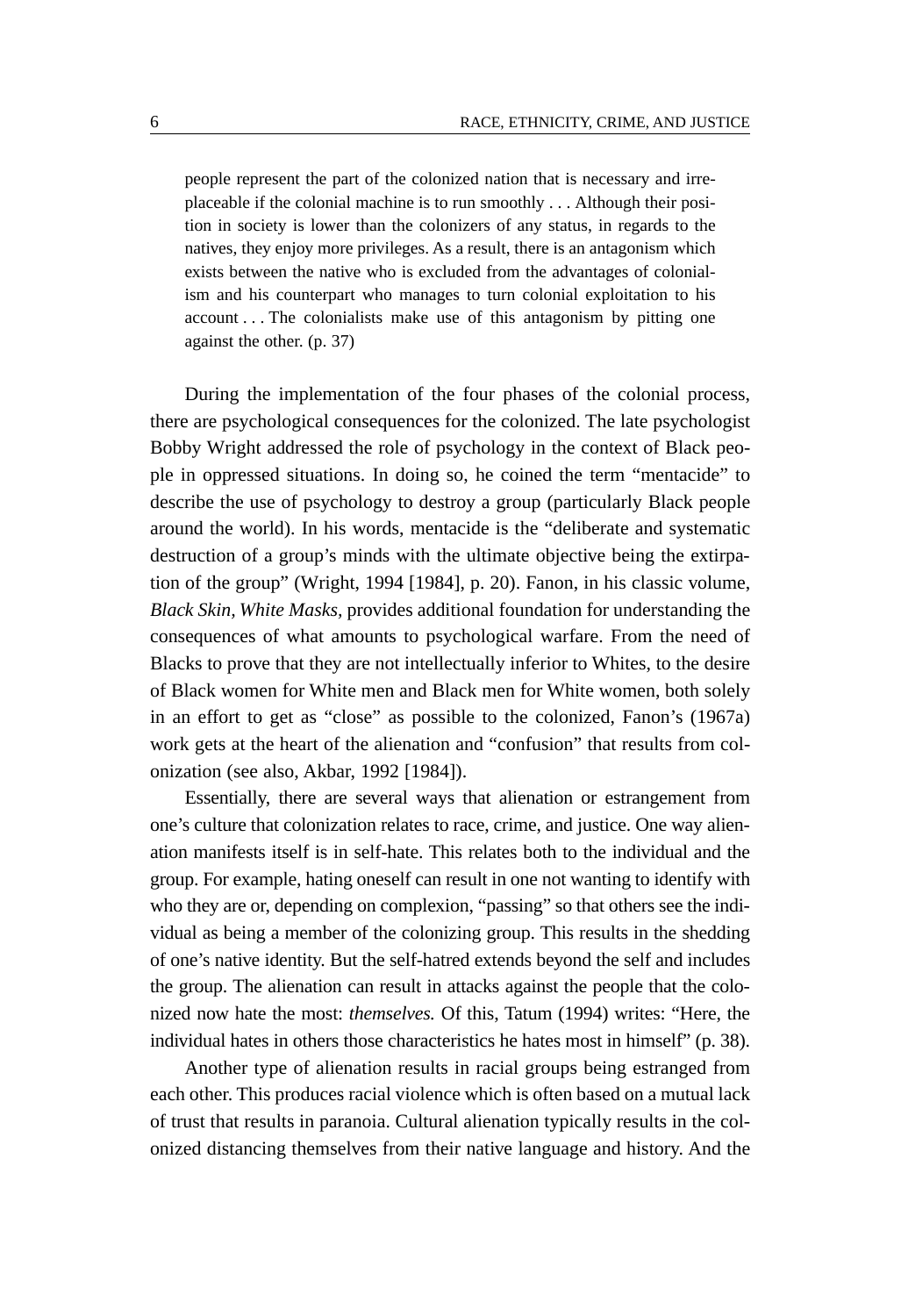people represent the part of the colonized nation that is necessary and irreplaceable if the colonial machine is to run smoothly ... Although their position in society is lower than the colonizers of any status, in regards to the natives, they enjoy more privileges. As a result, there is an antagonism which exists between the native who is excluded from the advantages of colonialism and his counterpart who manages to turn colonial exploitation to his account ... The colonialists make use of this antagonism by pitting one against the other. (p. 37)

During the implementation of the four phases of the colonial process, there are psychological consequences for the colonized. The late psychologist Bobby Wright addressed the role of psychology in the context of Black people in oppressed situations. In doing so, he coined the term "mentacide" to describe the use of psychology to destroy a group (particularly Black people around the world). In his words, mentacide is the "deliberate and systematic destruction of a group's minds with the ultimate objective being the extirpation of the group" (Wright, 1994 [1984], p. 20). Fanon, in his classic volume, *Black Skin, White Masks,* provides additional foundation for understanding the consequences of what amounts to psychological warfare. From the need of Blacks to prove that they are not intellectually inferior to Whites, to the desire of Black women for White men and Black men for White women, both solely in an effort to get as "close" as possible to the colonized, Fanon's (1967a) work gets at the heart of the alienation and "confusion" that results from colonization (see also, Akbar, 1992 [1984]).

Essentially, there are several ways that alienation or estrangement from one's culture that colonization relates to race, crime, and justice. One way alienation manifests itself is in self-hate. This relates both to the individual and the group. For example, hating oneself can result in one not wanting to identify with who they are or, depending on complexion, "passing" so that others see the individual as being a member of the colonizing group. This results in the shedding of one's native identity. But the self-hatred extends beyond the self and includes the group. The alienation can result in attacks against the people that the colonized now hate the most: *themselves.* Of this, Tatum (1994) writes: "Here, the individual hates in others those characteristics he hates most in himself" (p. 38).

Another type of alienation results in racial groups being estranged from each other. This produces racial violence which is often based on a mutual lack of trust that results in paranoia. Cultural alienation typically results in the colonized distancing themselves from their native language and history. And the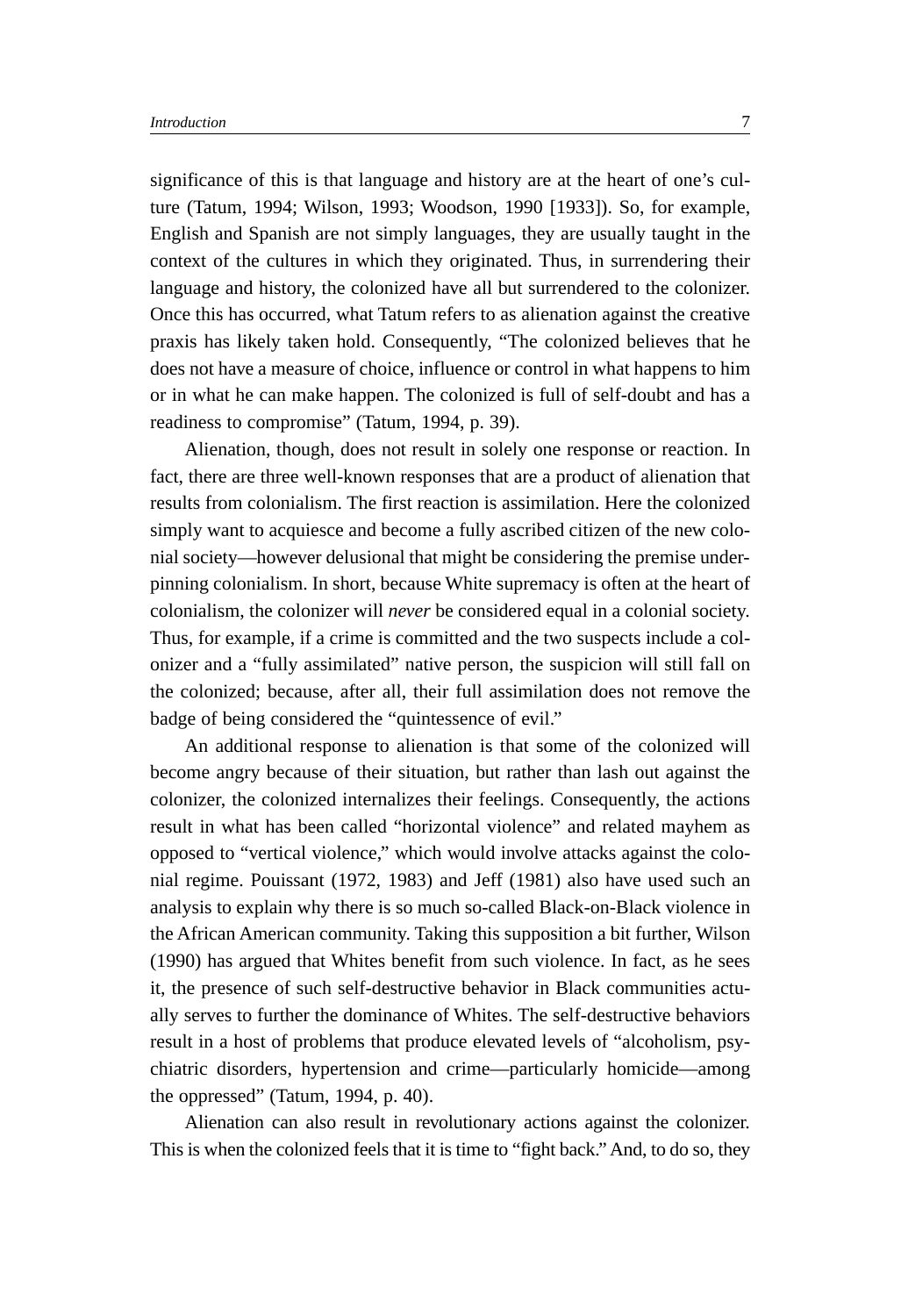significance of this is that language and history are at the heart of one's culture (Tatum, 1994; Wilson, 1993; Woodson, 1990 [1933]). So, for example, English and Spanish are not simply languages, they are usually taught in the context of the cultures in which they originated. Thus, in surrendering their language and history, the colonized have all but surrendered to the colonizer. Once this has occurred, what Tatum refers to as alienation against the creative praxis has likely taken hold. Consequently, "The colonized believes that he does not have a measure of choice, influence or control in what happens to him or in what he can make happen. The colonized is full of self-doubt and has a readiness to compromise" (Tatum, 1994, p. 39).

Alienation, though, does not result in solely one response or reaction. In fact, there are three well-known responses that are a product of alienation that results from colonialism. The first reaction is assimilation. Here the colonized simply want to acquiesce and become a fully ascribed citizen of the new colonial society—however delusional that might be considering the premise underpinning colonialism. In short, because White supremacy is often at the heart of colonialism, the colonizer will *never* be considered equal in a colonial society. Thus, for example, if a crime is committed and the two suspects include a colonizer and a "fully assimilated" native person, the suspicion will still fall on the colonized; because, after all, their full assimilation does not remove the badge of being considered the "quintessence of evil."

An additional response to alienation is that some of the colonized will become angry because of their situation, but rather than lash out against the colonizer, the colonized internalizes their feelings. Consequently, the actions result in what has been called "horizontal violence" and related mayhem as opposed to "vertical violence," which would involve attacks against the colonial regime. Pouissant (1972, 1983) and Jeff (1981) also have used such an analysis to explain why there is so much so-called Black-on-Black violence in the African American community. Taking this supposition a bit further, Wilson (1990) has argued that Whites benefit from such violence. In fact, as he sees it, the presence of such self-destructive behavior in Black communities actually serves to further the dominance of Whites. The self-destructive behaviors result in a host of problems that produce elevated levels of "alcoholism, psychiatric disorders, hypertension and crime—particularly homicide—among the oppressed" (Tatum, 1994, p. 40).

Alienation can also result in revolutionary actions against the colonizer. This is when the colonized feels that it is time to "fight back." And, to do so, they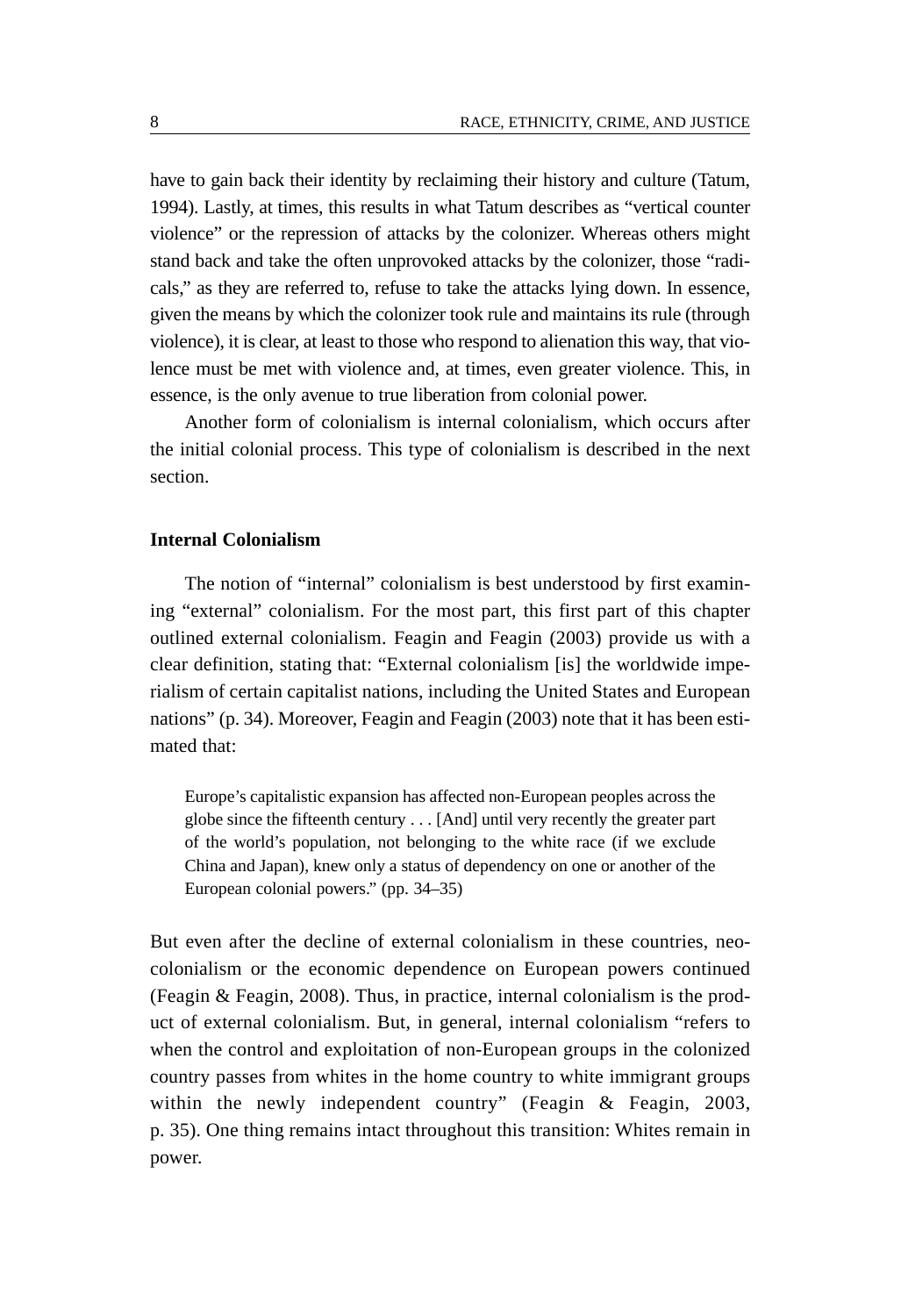have to gain back their identity by reclaiming their history and culture (Tatum, 1994). Lastly, at times, this results in what Tatum describes as "vertical counter violence" or the repression of attacks by the colonizer. Whereas others might stand back and take the often unprovoked attacks by the colonizer, those "radicals," as they are referred to, refuse to take the attacks lying down. In essence, given the means by which the colonizer took rule and maintains its rule (through violence), it is clear, at least to those who respond to alienation this way, that violence must be met with violence and, at times, even greater violence. This, in essence, is the only avenue to true liberation from colonial power.

Another form of colonialism is internal colonialism, which occurs after the initial colonial process. This type of colonialism is described in the next section.

#### **Internal Colonialism**

The notion of "internal" colonialism is best understood by first examining "external" colonialism. For the most part, this first part of this chapter outlined external colonialism. Feagin and Feagin (2003) provide us with a clear definition, stating that: "External colonialism [is] the worldwide imperialism of certain capitalist nations, including the United States and European nations" (p. 34). Moreover, Feagin and Feagin (2003) note that it has been estimated that:

Europe's capitalistic expansion has affected non-European peoples across the globe since the fifteenth century ... [And] until very recently the greater part of the world's population, not belonging to the white race (if we exclude China and Japan), knew only a status of dependency on one or another of the European colonial powers." (pp. 34–35)

But even after the decline of external colonialism in these countries, neocolonialism or the economic dependence on European powers continued (Feagin & Feagin, 2008). Thus, in practice, internal colonialism is the product of external colonialism. But, in general, internal colonialism "refers to when the control and exploitation of non-European groups in the colonized country passes from whites in the home country to white immigrant groups within the newly independent country" (Feagin & Feagin, 2003, p. 35). One thing remains intact throughout this transition: Whites remain in power.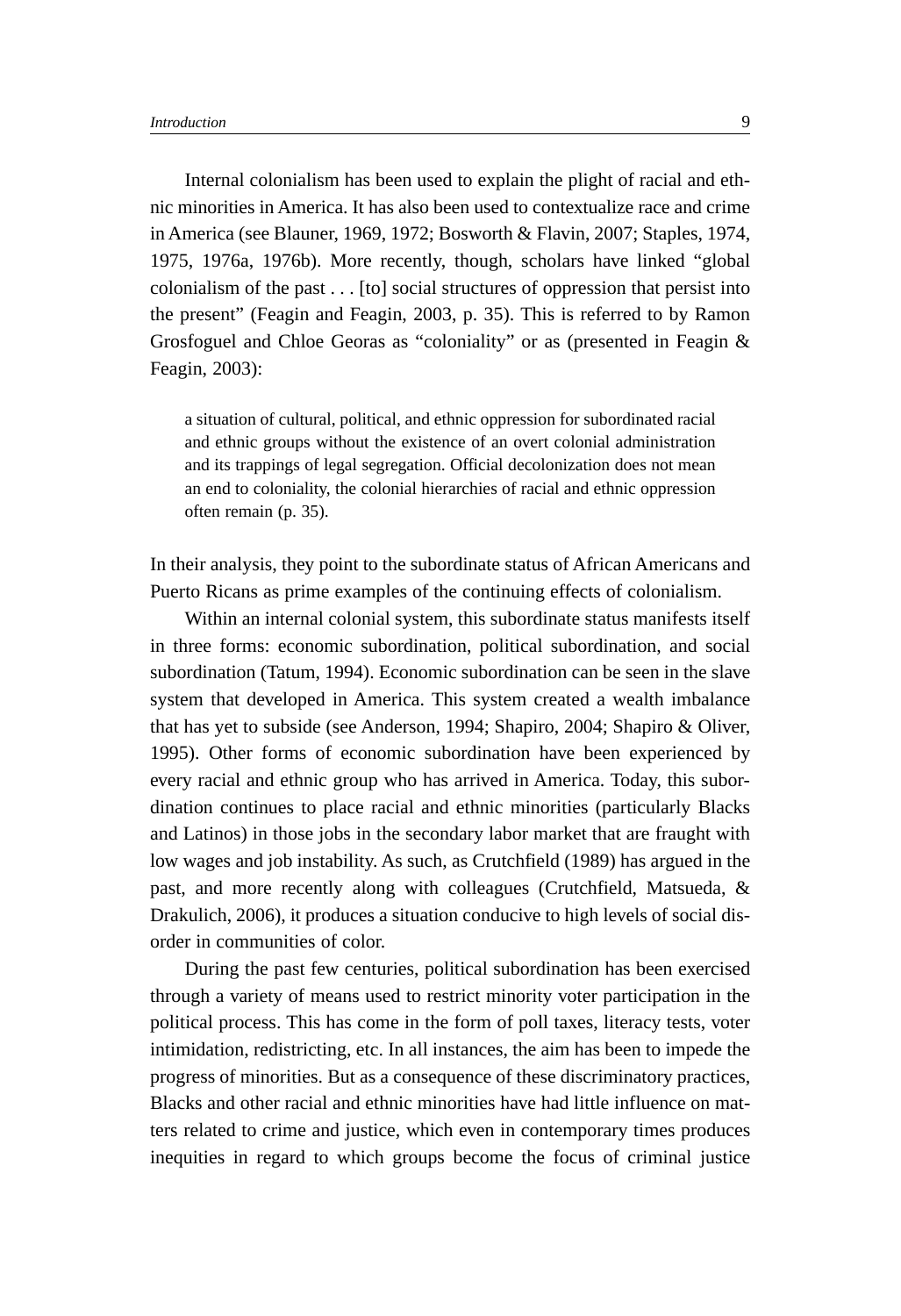Internal colonialism has been used to explain the plight of racial and ethnic minorities in America. It has also been used to contextualize race and crime in America (see Blauner, 1969, 1972; Bosworth & Flavin, 2007; Staples, 1974, 1975, 1976a, 1976b). More recently, though, scholars have linked "global colonialism of the past ... [to] social structures of oppression that persist into the present" (Feagin and Feagin, 2003, p. 35). This is referred to by Ramon Grosfoguel and Chloe Georas as "coloniality" or as (presented in Feagin & Feagin, 2003):

a situation of cultural, political, and ethnic oppression for subordinated racial and ethnic groups without the existence of an overt colonial administration and its trappings of legal segregation. Official decolonization does not mean an end to coloniality, the colonial hierarchies of racial and ethnic oppression often remain (p. 35).

In their analysis, they point to the subordinate status of African Americans and Puerto Ricans as prime examples of the continuing effects of colonialism.

Within an internal colonial system, this subordinate status manifests itself in three forms: economic subordination, political subordination, and social subordination (Tatum, 1994). Economic subordination can be seen in the slave system that developed in America. This system created a wealth imbalance that has yet to subside (see Anderson, 1994; Shapiro, 2004; Shapiro & Oliver, 1995). Other forms of economic subordination have been experienced by every racial and ethnic group who has arrived in America. Today, this subordination continues to place racial and ethnic minorities (particularly Blacks and Latinos) in those jobs in the secondary labor market that are fraught with low wages and job instability. As such, as Crutchfield (1989) has argued in the past, and more recently along with colleagues (Crutchfield, Matsueda, & Drakulich, 2006), it produces a situation conducive to high levels of social disorder in communities of color.

During the past few centuries, political subordination has been exercised through a variety of means used to restrict minority voter participation in the political process. This has come in the form of poll taxes, literacy tests, voter intimidation, redistricting, etc. In all instances, the aim has been to impede the progress of minorities. But as a consequence of these discriminatory practices, Blacks and other racial and ethnic minorities have had little influence on matters related to crime and justice, which even in contemporary times produces inequities in regard to which groups become the focus of criminal justice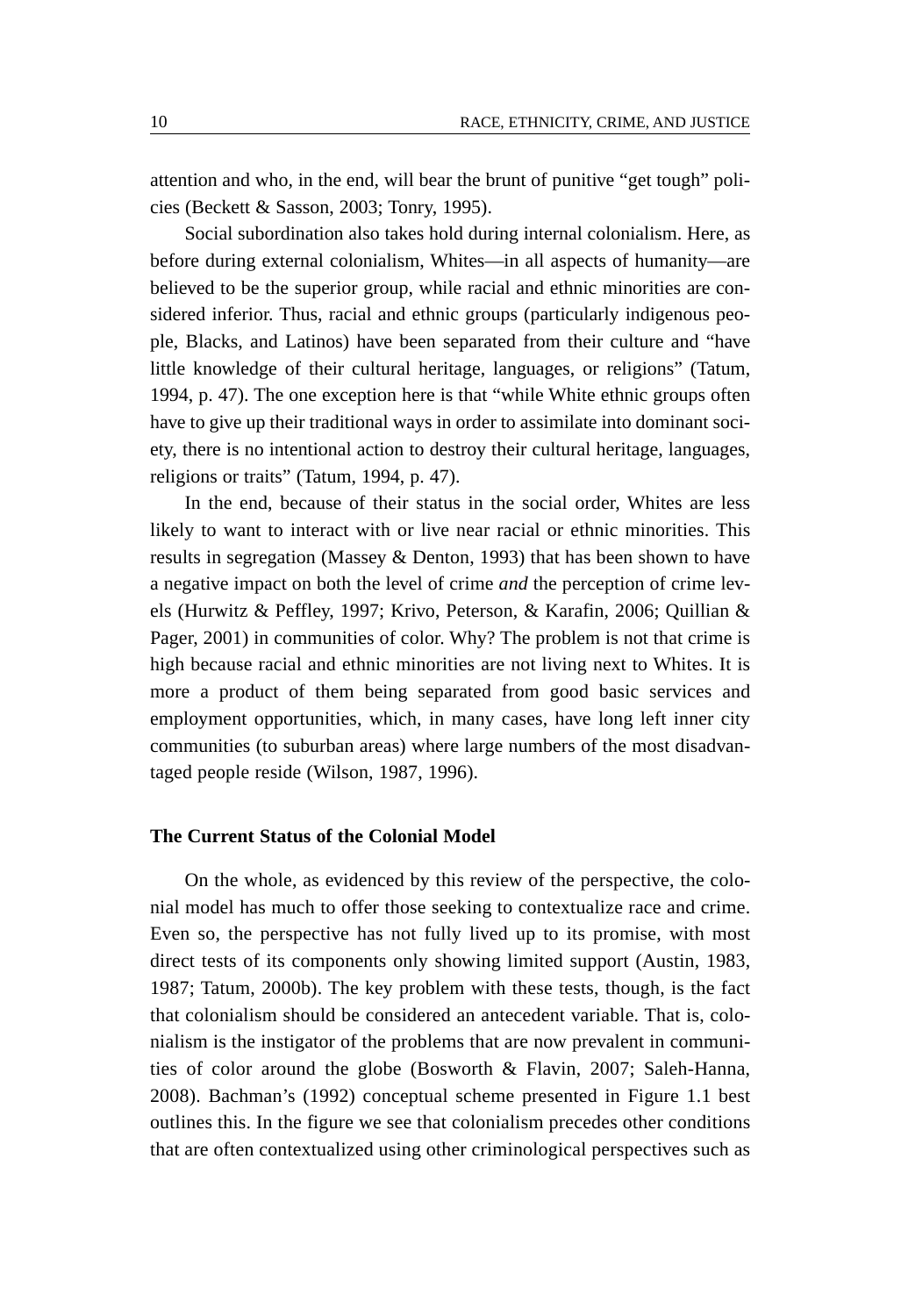attention and who, in the end, will bear the brunt of punitive "get tough" policies (Beckett & Sasson, 2003; Tonry, 1995).

Social subordination also takes hold during internal colonialism. Here, as before during external colonialism, Whites—in all aspects of humanity—are believed to be the superior group, while racial and ethnic minorities are considered inferior. Thus, racial and ethnic groups (particularly indigenous people, Blacks, and Latinos) have been separated from their culture and "have little knowledge of their cultural heritage, languages, or religions" (Tatum, 1994, p. 47). The one exception here is that "while White ethnic groups often have to give up their traditional ways in order to assimilate into dominant society, there is no intentional action to destroy their cultural heritage, languages, religions or traits" (Tatum, 1994, p. 47).

In the end, because of their status in the social order, Whites are less likely to want to interact with or live near racial or ethnic minorities. This results in segregation (Massey & Denton, 1993) that has been shown to have a negative impact on both the level of crime *and* the perception of crime levels (Hurwitz & Peffley, 1997; Krivo, Peterson, & Karafin, 2006; Quillian & Pager, 2001) in communities of color. Why? The problem is not that crime is high because racial and ethnic minorities are not living next to Whites. It is more a product of them being separated from good basic services and employment opportunities, which, in many cases, have long left inner city communities (to suburban areas) where large numbers of the most disadvantaged people reside (Wilson, 1987, 1996).

#### **The Current Status of the Colonial Model**

On the whole, as evidenced by this review of the perspective, the colonial model has much to offer those seeking to contextualize race and crime. Even so, the perspective has not fully lived up to its promise, with most direct tests of its components only showing limited support (Austin, 1983, 1987; Tatum, 2000b). The key problem with these tests, though, is the fact that colonialism should be considered an antecedent variable. That is, colonialism is the instigator of the problems that are now prevalent in communities of color around the globe (Bosworth & Flavin, 2007; Saleh-Hanna, 2008). Bachman's (1992) conceptual scheme presented in Figure 1.1 best outlines this. In the figure we see that colonialism precedes other conditions that are often contextualized using other criminological perspectives such as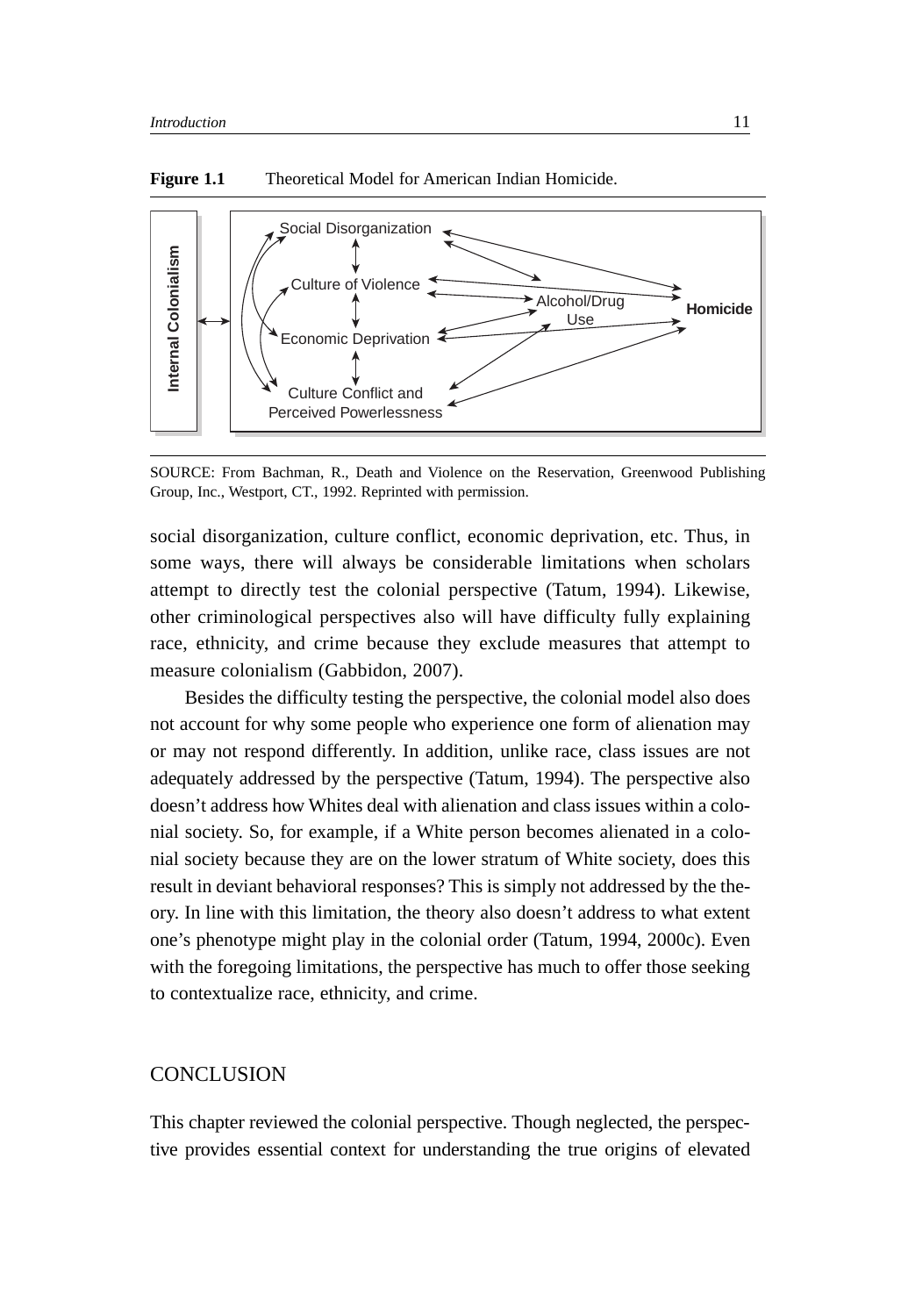

**Figure 1.1** Theoretical Model for American Indian Homicide.

SOURCE: From Bachman, R., Death and Violence on the Reservation, Greenwood Publishing Group, Inc., Westport, CT., 1992. Reprinted with permission.

social disorganization, culture conflict, economic deprivation, etc. Thus, in some ways, there will always be considerable limitations when scholars attempt to directly test the colonial perspective (Tatum, 1994). Likewise, other criminological perspectives also will have difficulty fully explaining race, ethnicity, and crime because they exclude measures that attempt to measure colonialism (Gabbidon, 2007).

Besides the difficulty testing the perspective, the colonial model also does not account for why some people who experience one form of alienation may or may not respond differently. In addition, unlike race, class issues are not adequately addressed by the perspective (Tatum, 1994). The perspective also doesn't address how Whites deal with alienation and class issues within a colonial society. So, for example, if a White person becomes alienated in a colonial society because they are on the lower stratum of White society, does this result in deviant behavioral responses? This is simply not addressed by the theory. In line with this limitation, the theory also doesn't address to what extent one's phenotype might play in the colonial order (Tatum, 1994, 2000c). Even with the foregoing limitations, the perspective has much to offer those seeking to contextualize race, ethnicity, and crime.

# **CONCLUSION**

This chapter reviewed the colonial perspective. Though neglected, the perspective provides essential context for understanding the true origins of elevated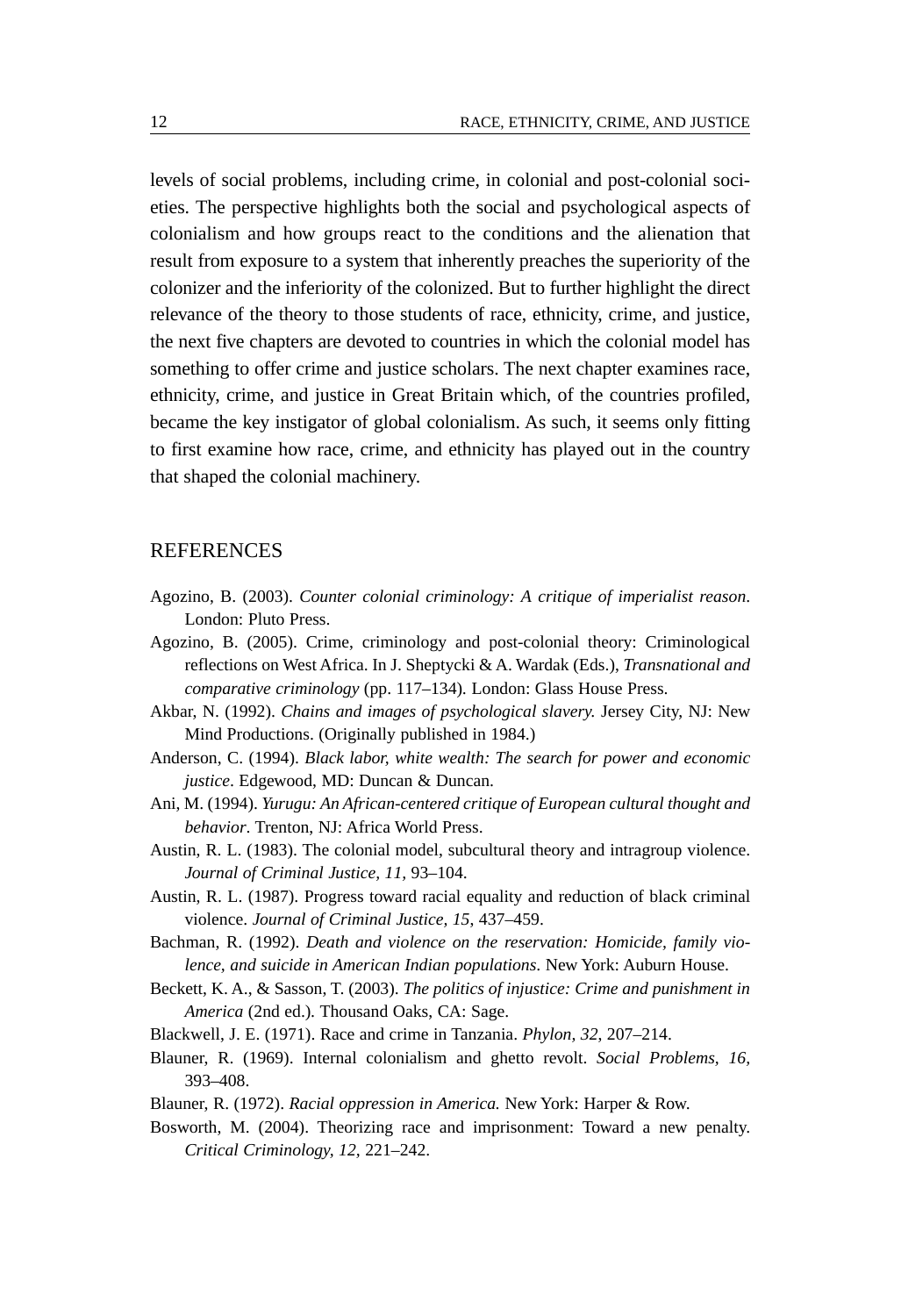levels of social problems, including crime, in colonial and post-colonial societies. The perspective highlights both the social and psychological aspects of colonialism and how groups react to the conditions and the alienation that result from exposure to a system that inherently preaches the superiority of the colonizer and the inferiority of the colonized. But to further highlight the direct relevance of the theory to those students of race, ethnicity, crime, and justice, the next five chapters are devoted to countries in which the colonial model has something to offer crime and justice scholars. The next chapter examines race, ethnicity, crime, and justice in Great Britain which, of the countries profiled, became the key instigator of global colonialism. As such, it seems only fitting to first examine how race, crime, and ethnicity has played out in the country that shaped the colonial machinery.

### **REFERENCES**

- Agozino, B. (2003). *Counter colonial criminology: A critique of imperialist reason*. London: Pluto Press.
- Agozino, B. (2005). Crime, criminology and post-colonial theory: Criminological reflections on West Africa. In J. Sheptycki & A. Wardak (Eds.), *Transnational and comparative criminology* (pp. 117–134)*.* London: Glass House Press.
- Akbar, N. (1992). *Chains and images of psychological slavery.* Jersey City, NJ: New Mind Productions. (Originally published in 1984.)
- Anderson, C. (1994). *Black labor, white wealth: The search for power and economic justice*. Edgewood, MD: Duncan & Duncan.
- Ani, M. (1994). *Yurugu: An African-centered critique of European cultural thought and behavior*. Trenton, NJ: Africa World Press.
- Austin, R. L. (1983). The colonial model, subcultural theory and intragroup violence. *Journal of Criminal Justice, 11,* 93–104.
- Austin, R. L. (1987). Progress toward racial equality and reduction of black criminal violence. *Journal of Criminal Justice, 15*, 437–459.
- Bachman, R. (1992). *Death and violence on the reservation: Homicide, family violence, and suicide in American Indian populations*. New York: Auburn House.
- Beckett, K. A., & Sasson, T. (2003). *The politics of injustice: Crime and punishment in America* (2nd ed.)*.* Thousand Oaks, CA: Sage.
- Blackwell, J. E. (1971). Race and crime in Tanzania. *Phylon, 32*, 207–214.
- Blauner, R. (1969). Internal colonialism and ghetto revolt. *Social Problems, 16,* 393–408.
- Blauner, R. (1972). *Racial oppression in America.* New York: Harper & Row.
- Bosworth, M. (2004). Theorizing race and imprisonment: Toward a new penalty. *Critical Criminology, 12,* 221–242.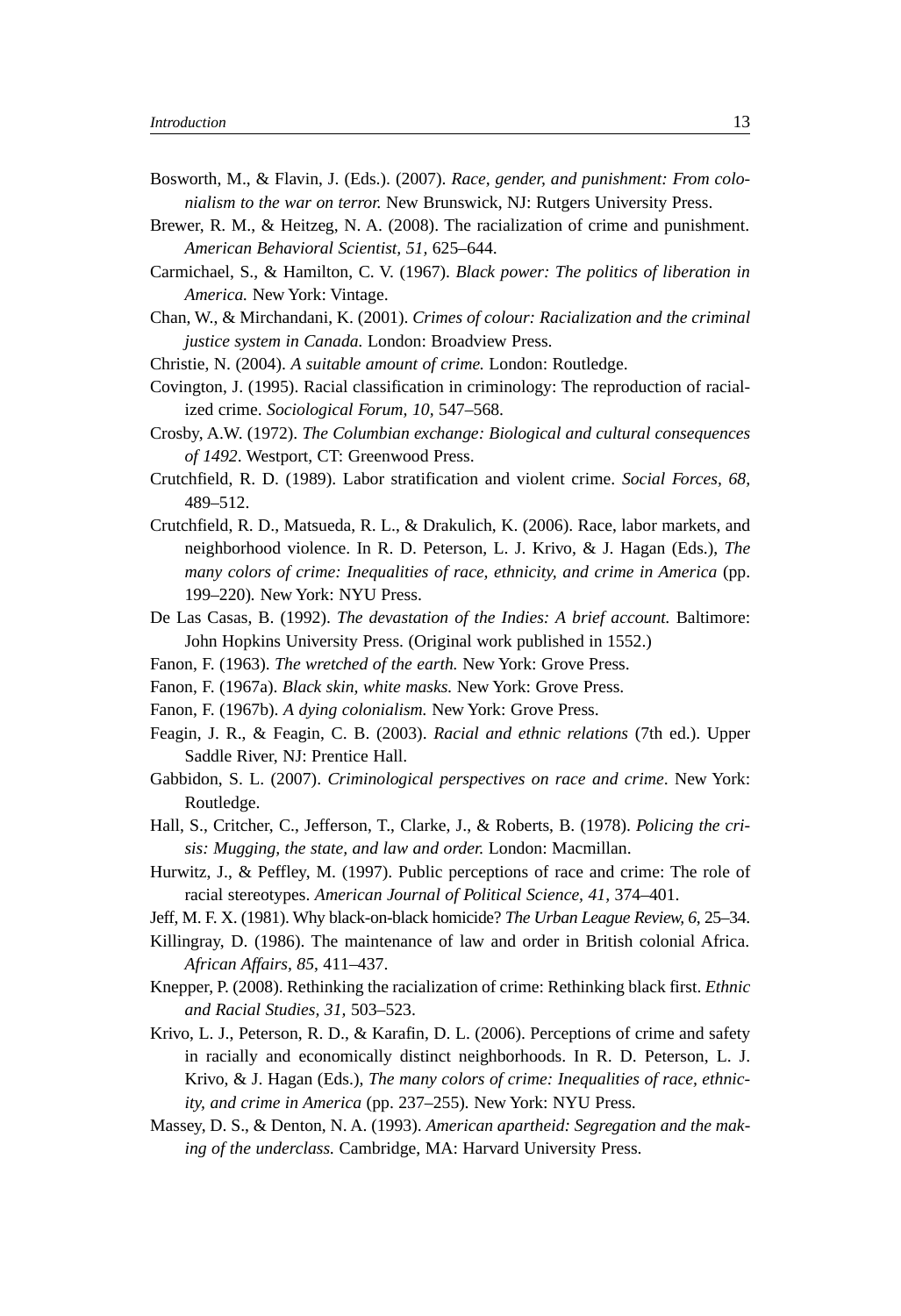- Bosworth, M., & Flavin, J. (Eds.). (2007). *Race, gender, and punishment: From colonialism to the war on terror.* New Brunswick, NJ: Rutgers University Press.
- Brewer, R. M., & Heitzeg, N. A. (2008). The racialization of crime and punishment. *American Behavioral Scientist, 51,* 625–644.
- Carmichael, S., & Hamilton, C. V. (1967). *Black power: The politics of liberation in America.* New York: Vintage.
- Chan, W., & Mirchandani, K. (2001). *Crimes of colour: Racialization and the criminal justice system in Canada.* London: Broadview Press.
- Christie, N. (2004). *A suitable amount of crime.* London: Routledge.
- Covington, J. (1995). Racial classification in criminology: The reproduction of racialized crime. *Sociological Forum, 10,* 547–568.
- Crosby, A.W. (1972). *The Columbian exchange: Biological and cultural consequences of 1492*. Westport, CT: Greenwood Press.
- Crutchfield, R. D. (1989). Labor stratification and violent crime. *Social Forces, 68,* 489–512.
- Crutchfield, R. D., Matsueda, R. L., & Drakulich, K. (2006). Race, labor markets, and neighborhood violence. In R. D. Peterson, L. J. Krivo, & J. Hagan (Eds.), *The many colors of crime: Inequalities of race, ethnicity, and crime in America* (pp. 199–220)*.* New York: NYU Press.
- De Las Casas, B. (1992). *The devastation of the Indies: A brief account.* Baltimore: John Hopkins University Press. (Original work published in 1552.)
- Fanon, F. (1963). *The wretched of the earth.* New York: Grove Press.
- Fanon, F. (1967a). *Black skin, white masks.* New York: Grove Press.
- Fanon, F. (1967b). *A dying colonialism.* New York: Grove Press.
- Feagin, J. R., & Feagin, C. B. (2003). *Racial and ethnic relations* (7th ed.). Upper Saddle River, NJ: Prentice Hall.
- Gabbidon, S. L. (2007). *Criminological perspectives on race and crime*. New York: Routledge.
- Hall, S., Critcher, C., Jefferson, T., Clarke, J., & Roberts, B. (1978). *Policing the crisis: Mugging, the state, and law and order.* London: Macmillan.
- Hurwitz, J., & Peffley, M. (1997). Public perceptions of race and crime: The role of racial stereotypes. *American Journal of Political Science, 41,* 374–401.
- Jeff, M. F. X. (1981). Why black-on-black homicide? *The Urban League Review, 6*, 25–34.
- Killingray, D. (1986). The maintenance of law and order in British colonial Africa. *African Affairs, 85*, 411–437.
- Knepper, P. (2008). Rethinking the racialization of crime: Rethinking black first. *Ethnic and Racial Studies, 31,* 503–523.
- Krivo, L. J., Peterson, R. D., & Karafin, D. L. (2006). Perceptions of crime and safety in racially and economically distinct neighborhoods. In R. D. Peterson, L. J. Krivo, & J. Hagan (Eds.), *The many colors of crime: Inequalities of race, ethnicity, and crime in America* (pp. 237–255)*.* New York: NYU Press.
- Massey, D. S., & Denton, N. A. (1993). *American apartheid: Segregation and the making of the underclass.* Cambridge, MA: Harvard University Press.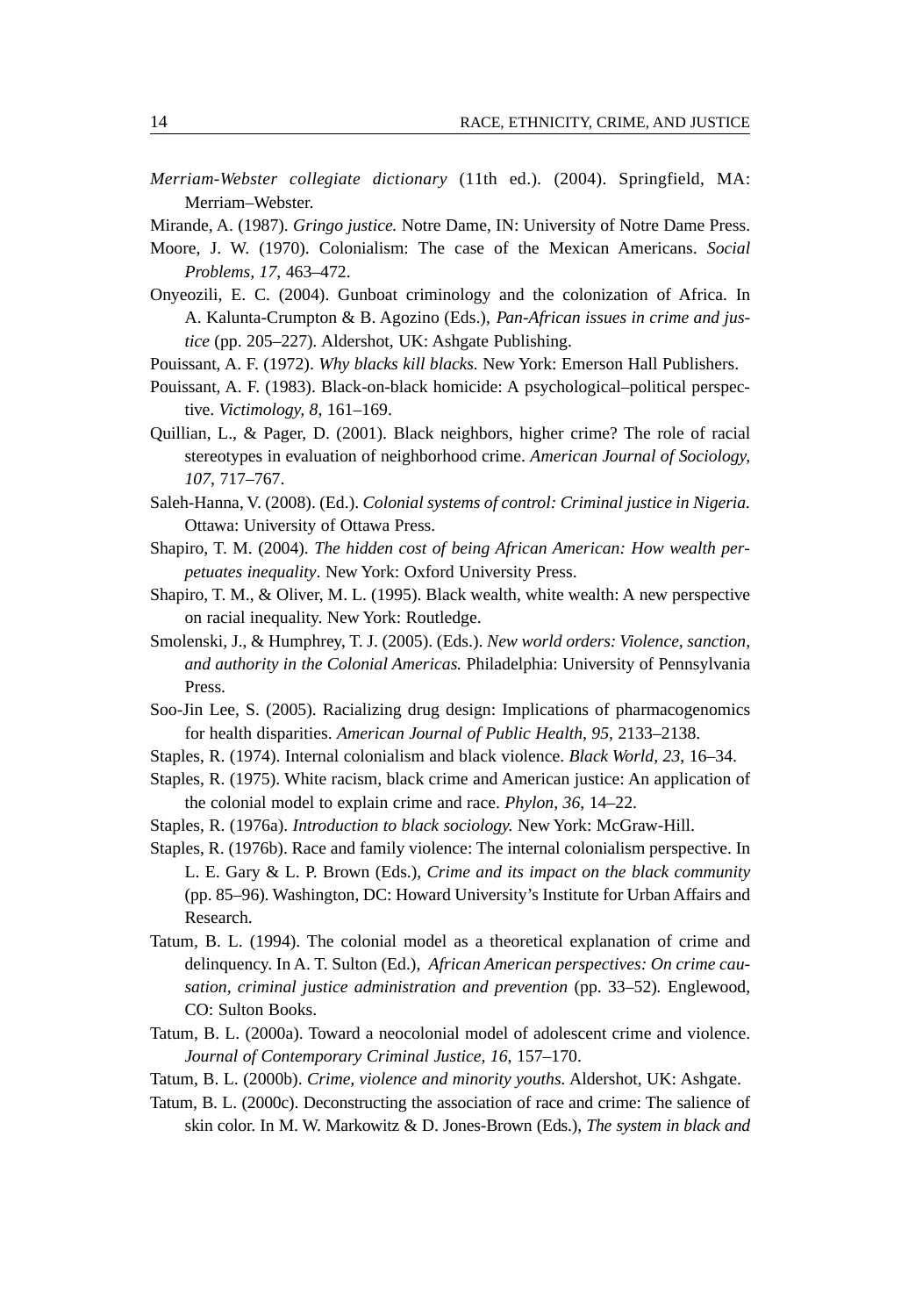- *Merriam-Webster collegiate dictionary* (11th ed.)*.* (2004). Springfield, MA: Merriam–Webster.
- Mirande, A. (1987). *Gringo justice.* Notre Dame, IN: University of Notre Dame Press.
- Moore, J. W. (1970). Colonialism: The case of the Mexican Americans. *Social Problems, 17*, 463–472.
- Onyeozili, E. C. (2004). Gunboat criminology and the colonization of Africa. In A. Kalunta-Crumpton & B. Agozino (Eds.), *Pan-African issues in crime and justice* (pp. 205–227)*.* Aldershot, UK: Ashgate Publishing.
- Pouissant, A. F. (1972). *Why blacks kill blacks.* New York: Emerson Hall Publishers.
- Pouissant, A. F. (1983). Black-on-black homicide: A psychological–political perspective. *Victimology, 8*, 161–169.
- Quillian, L., & Pager, D. (2001). Black neighbors, higher crime? The role of racial stereotypes in evaluation of neighborhood crime. *American Journal of Sociology, 107*, 717–767.
- Saleh-Hanna, V. (2008). (Ed.). *Colonial systems of control: Criminal justice in Nigeria.* Ottawa: University of Ottawa Press.
- Shapiro, T. M. (2004). *The hidden cost of being African American: How wealth perpetuates inequality*. New York: Oxford University Press.
- Shapiro, T. M., & Oliver, M. L. (1995). Black wealth, white wealth: A new perspective on racial inequality. New York: Routledge.
- Smolenski, J., & Humphrey, T. J. (2005). (Eds.). *New world orders: Violence, sanction, and authority in the Colonial Americas.* Philadelphia: University of Pennsylvania Press.
- Soo-Jin Lee, S. (2005). Racializing drug design: Implications of pharmacogenomics for health disparities. *American Journal of Public Health, 95,* 2133–2138.
- Staples, R. (1974). Internal colonialism and black violence. *Black World, 23*, 16–34.
- Staples, R. (1975). White racism, black crime and American justice: An application of the colonial model to explain crime and race. *Phylon, 36*, 14–22.
- Staples, R. (1976a). *Introduction to black sociology.* New York: McGraw-Hill.
- Staples, R. (1976b). Race and family violence: The internal colonialism perspective. In L. E. Gary & L. P. Brown (Eds.), *Crime and its impact on the black community* (pp. 85–96)*.* Washington, DC: Howard University's Institute for Urban Affairs and Research.
- Tatum, B. L. (1994). The colonial model as a theoretical explanation of crime and delinquency. In A. T. Sulton (Ed.), *African American perspectives: On crime causation, criminal justice administration and prevention* (pp. 33–52)*.* Englewood, CO: Sulton Books.
- Tatum, B. L. (2000a). Toward a neocolonial model of adolescent crime and violence. *Journal of Contemporary Criminal Justice, 16*, 157–170.
- Tatum, B. L. (2000b). *Crime, violence and minority youths.* Aldershot, UK: Ashgate.
- Tatum, B. L. (2000c). Deconstructing the association of race and crime: The salience of skin color. In M. W. Markowitz & D. Jones-Brown (Eds.), *The system in black and*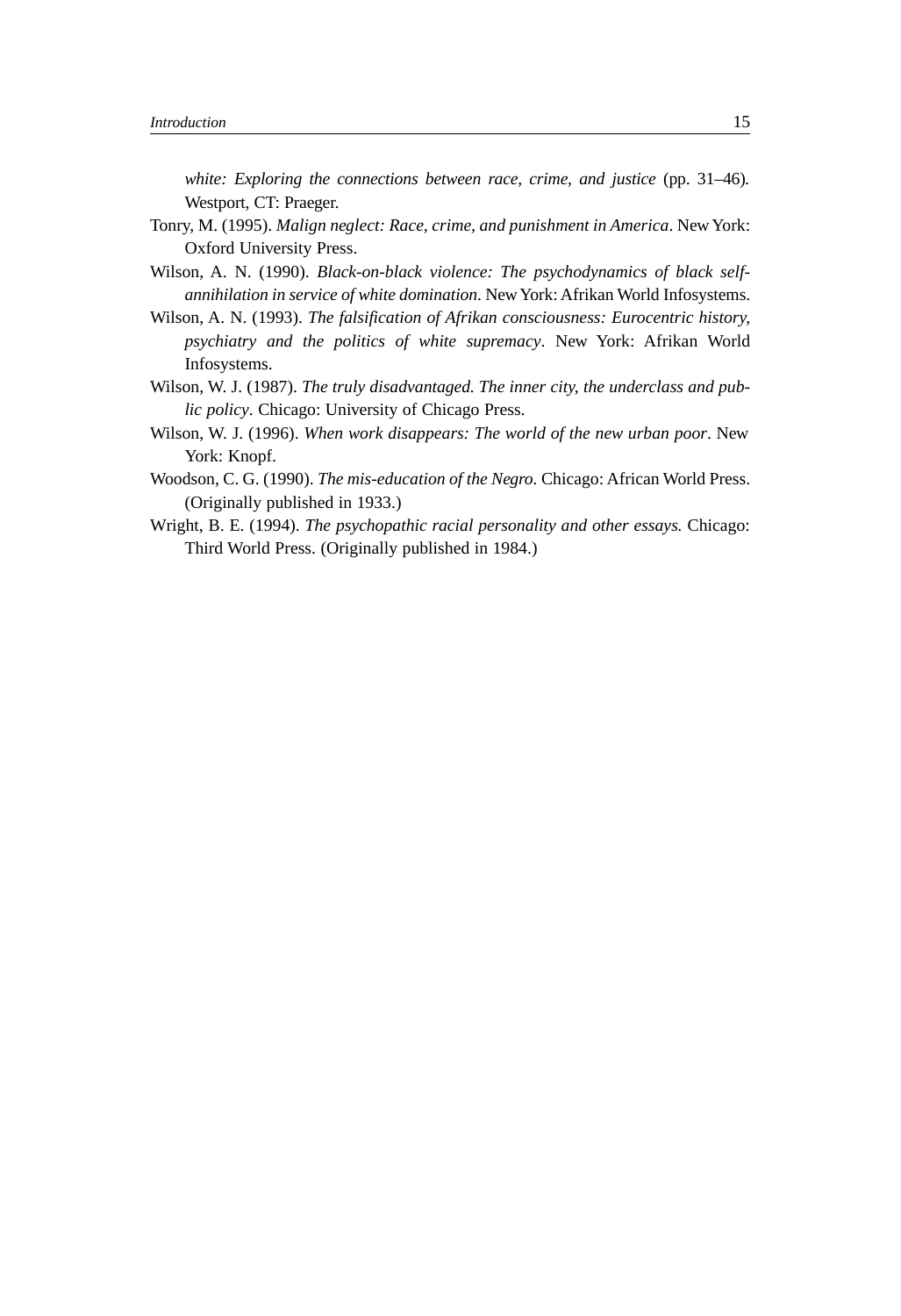*white: Exploring the connections between race, crime, and justice* (pp. 31–46)*.* Westport, CT: Praeger.

- Tonry, M. (1995). *Malign neglect: Race, crime, and punishment in America*. New York: Oxford University Press.
- Wilson, A. N. (1990). *Black-on-black violence: The psychodynamics of black selfannihilation in service of white domination*. NewYork: Afrikan World Infosystems.
- Wilson, A. N. (1993). *The falsification of Afrikan consciousness: Eurocentric history, psychiatry and the politics of white supremacy*. New York: Afrikan World Infosystems.
- Wilson, W. J. (1987). *The truly disadvantaged. The inner city, the underclass and public policy*. Chicago: University of Chicago Press.
- Wilson, W. J. (1996). *When work disappears: The world of the new urban poor*. New York: Knopf.
- Woodson, C. G. (1990). *The mis-education of the Negro.* Chicago: African World Press. (Originally published in 1933.)
- Wright, B. E. (1994). *The psychopathic racial personality and other essays.* Chicago: Third World Press. (Originally published in 1984.)